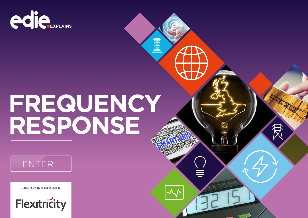

# **FREQUENCY RESPONSE**

ER TYPE KAI82



**SUPPORTING PARTNER:**

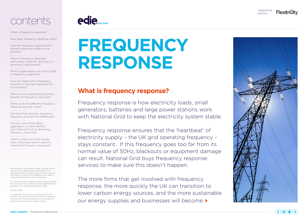



[What is frequency response?](#page-1-0) 

[How does frequency response work?](#page-2-0)

[How do frequency response and](#page-2-1)  [demand response relate to one](#page-2-1)  [another?](#page-2-1) 

[What is frequency response](#page-2-2)  [particularly useful for, and why is it](#page-2-2)  [growing in significance?](#page-2-2) 

[Which organisations are most suited](#page-2-3)  [to frequency response?](#page-2-3)

[How do I determine if frequency](#page-3-0)  [response is the right approach for](#page-3-0)  [my business?](#page-3-0)

[What are the overarching business](#page-3-1)  [benefits of frequency response?](#page-3-1)

What do all the different frequency [response services mean?](#page-4-0)

[Dynamic/non-dynamic frequency](#page-4-1)  [response; what are the differences?](#page-4-1)

[Should I use a third-party/](#page-5-0) [aggregator, or work directly](#page-5-0)  [with National Grid on delivering](#page-5-0)  [frequency response?](#page-5-0)

[Which systems and technology](#page-5-1)  [does a business need in place to](#page-5-1)  [implement frequency response?](#page-5-1)

edie explains is published by edie, the year-round resource providing energy, sustainability and resource efficiency professionals with the practical information, insight and intelligence they need to make their businesses more sustainable.

For more information please contact luke.nicholls@ fav-house.com for content and david.griffiths@favhouse.com for sponsorship opportunities.

January 2018.

© Faversham House Group Ltd 2018. edie news articles may be copied or forwarded for individual use only. No other reproduction or distribution is permitted without prior written consent.



## **FREQUENCY RESPONSE**

## <span id="page-1-0"></span>**What is frequency response?**

Frequency response is how electricity loads, small generators, batteries and large power stations work with National Grid to keep the electricity system stable.

Frequency response ensures that the 'heartbeat' of electricity supply – the UK grid operating frequency – stays constant. If this frequency goes too far from its normal value of 50Hz, blackouts or equipment damage can result. National Grid buys frequency response services to make sure this doesn't happen.

The more firms that get involved with frequency response, the more quickly the UK can transition to lower carbon energy sources, and the more sustainable our energy supplies and businesses will become.



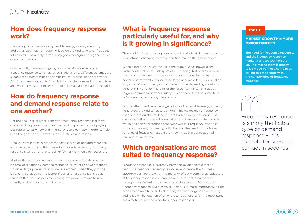## <span id="page-2-0"></span>**How does frequency response work?**

Frequency response works by flexible energy users generating additional electricity or reducing load on the grid whenever frequency falls too far. Conversely, if frequency goes too high, users generate less or consume more.

Commercially, this means signing up to one of a wide variety of frequency response schemes run by National Grid. Different schemes are suitable for different types of electricity user or small generator owner. All of them are designed to financially incentivise companies to vary how and when they use electricity, so as to help manage the load on the grid.

## <span id="page-2-1"></span>**How do frequency response and demand response relate to one another?**

For the end-user or small generator, frequency response is a form of demand response. In general, demand response is about paying businesses to vary how and when they use electricity in order to help keep the grid, and UK power supplies, stable and reliable.

Frequency response is simply the fastest type of demand response – it is suitable for sites that can act in seconds. However, frequency response sites don't have to deliver for very long on each occasion.

Most of the solutions we need to help keep our grid balanced can be provided either by demand response, or by large power stations. However, large power stations are less efficient when they provide balancing services, so it is better if demand response picks up as much of this work as possible, leaving the power stations to run steadily at their most efficient output.

## <span id="page-2-2"></span>**What is frequency response particularly useful for, and why is it growing in significance?**

The need for frequency response and other kinds of demand response is constantly changing as the generation mix on the grid changes.

When a large power station - like the huge nuclear power plant under construction at Hinkley Point – is running, National Grid must make sure it has enough frequency response capacity so that the power system won't collapse if the large generator fails. This is called 'largest loss' and it changes from time to time depending on what's generating. However, this part of the response market isn't about to grow dramatically: after Hinkley C is finished, it will be some time before anyone builds anything bigger.

On the other hand, when a large volume of renewable energy is being generated, the grid tends to be 'light'. This makes mains frequency change more quickly, making it more likely to go out of range. The challenge is that renewable generators don't provide 'system inertia' which gas and coal stations otherwise would. Frequency response is the primary way of dealing with this, and the need for the faster varieties of frequency response is growing as the penetration of renewables increases.

## <span id="page-2-3"></span>**Which organisations are most suited to frequency response?**

Frequency response is currently provided by an eclectic mix of firms. The need for frequency response, and hence the business opportunities, are growing. The majority of early commercial adopters of frequency response are large power users, including mediumto-large manufacturing businesses and datacentres. To work with frequency response, scale certainly helps. But, more importantly, a firm needs to be able to alter its electricity demand or generation quickly and reliably. The location of an end-user business is, for the most part, not a factor in suitability for frequency response.

#### TOP TIP:

#### MARKET GROWTH = MORE **OPPORTUNITIES**

The need for frequency response, and the frequency response market itself, are both on the up. This means there is money to be made by those companies willing to get to grips with the complexities of frequency response.



Frequency response is simply the fastest type of demand response – it is suitable for sites that can act in seconds."

 $\left(\begin{array}{c} \left(\begin{array}{c} \bullet \\ \bullet \end{array}\right)(\begin{array}{c} \bullet \\ \bullet \end{array}) (\begin{array}{c} \bullet \\ \bullet \end{array}) (\begin{array}{c} \bullet \\ \bullet \end{array}) (\begin{array}{c} \bullet \\ \bullet \end{array}) (\begin{array}{c} \bullet \\ \bullet \end{array}) (\begin{array}{c} \bullet \\ \bullet \end{array}) (\begin{array}{c} \bullet \\ \bullet \end{array}) (\begin{array}{c} \bullet \\ \bullet \end{array}) (\begin{array}{c} \bullet \\ \bullet \end{array}) (\begin{array}{c} \bullet \\ \bullet \end{array}) (\begin{array}{c} \bullet \\ \bullet \end{array}) (\begin{$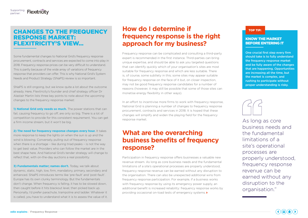### CHANGES TO THE FREQUENCY RESPONSE MARKET: FLEXITRICITY'S VIEW…

Some fundamental changes to National Grid's frequency response procurement, contracts and services are expected to come into play in 2018. Frequency response prices can be very difficult to understand. This is partly because of the wide array of variations of frequency response that providers can offer. This is why National Grid's System Needs and Product Strategy (SNaPS) review is so important.

SNaPS is still ongoing, but we know quite a lot about the outcome already. Here, Flexitricity's founder and chief strategy officer Dr Alastair Martin lists three key points to note about the upcoming changes to the frequency response market:

1) National Grid only needs so much. The power stations that can fail, causing frequency to go off, are only so big. There is a lot of competition to provide for this consistent requirement. You can get a firm income stream, but it won't be big.

**2) The need for frequency response changes every hour.** It takes more response to keep the lights on when the sun is up and the wind is blowing. Conversely, pulling out of frequency response when there is a shortage - like during triad peaks - is not the way to get best value. Providers who can follow the market are in the best shape here. And National Grid's tender strategy will change to reflect that, with on-the-day auctions a real possibility.

**3) Fundamentals matter; names don't.** Today, we talk about dynamic, static, high, low, firm, mandatory, primary, secondary and enhanced. SNaPS introduces terms like 'pre-fault' and 'post-fault'. Europe has its own clunky terminology. But the fundamentals don't change. When frequency is falling, it has to be slowed down, then caught before it hits blackout level, then picked back up. Personally, I'd prefer parachute, trampoline and ladder. Whatever it is called, you have to understand what it is to assess the value of it.

## <span id="page-3-0"></span>**How do I determine if frequency response is the right approach for my business?**

Frequency response can be complicated and consulting a third-party expert is recommended in the first instance. Third-parties can bring unique expertise, and should be able to ask you targeted questions that can identify quickly which of your organisation's sites are most suitable for frequency response and which are less suitable. There is, of course, some subtlety in this; some sites may appear suitable for frequency response on the face of it but, on closer inspection, may not be good frequency response candidates for a number of reasons (however, it may still be possible that some of those sites can monetise energy flexibility in other ways).

In an effort to incentivise more firms to work with frequency response, National Grid is planning a number of changes to frequency response procurement, contracts and services in 2018. It is hoped that these changes will simplify and widen the playing field for the frequency response market.

## <span id="page-3-1"></span>**What are the overarching business benefits of frequency response?**

Participation in frequency response offers businesses a valuable new revenue stream. As long as core business needs and the fundamental limitations of a site's operational processes are properly understood, frequency response revenue can be earned without any disruption to the organisation. There can also be unexpected additional wins from frequency response participation. For example, if a business works with frequency response by using its emergency power supply, an additional benefit is increased reliability: frequency response works by providing occasional on-load tests of emergency systems.

#### TOP TIP:

#### KNOW THE MARKET BEFORE ENTERING IT

One crucial first step every firm should take is to fully understand the frequency response market and be fully aware of the changes that are happening. Opportunities are increasing all the time, but the market is complex, and rushing to participate without proper understanding is risky.



As long as core business needs and the fundamental limitations of a site's operational processes are properly understood, frequency response revenue can be earned without any disruption to the organisation."

 $\mathbf{A}(\mathbf{a})\mathbf{b}(\mathbf{a})$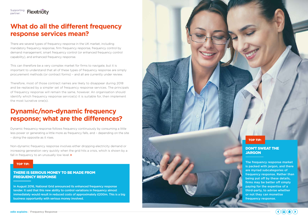#### Supporting partner:

## <span id="page-4-0"></span>**What do all the different frequency response services mean?**

There are several types of frequency response in the UK market, including mandatory frequency response, firm frequency response, frequency control by demand management, smart frequency control (or enhanced frequency control capability), and enhanced frequency response.

This can therefore be a very complex market for firms to navigate, but it is important to understand that all of these types of frequency response are simply procurement methods (or contract forms) – and all are currently under review.

Therefore, most of those contract names are likely to disappear during 2018 and be replaced by a simpler set of frequency response services. The principals of frequency response will remain the same, however. An organisation should identify which frequency response service(s) it is suitable for, then implement the most lucrative one(s).

## <span id="page-4-1"></span>**Dynamic/non-dynamic frequency response; what are the differences?**

Dynamic frequency response follows frequency continuously by consuming a little less power or generating a little more as frequency falls, and – depending on the site – doing the opposite as it rises.

Non-dynamic frequency response involves either dropping electricity demand or increasing generation very quickly when the grid hits a crisis, which is shown by a fall in frequency to an unusually low level.

#### TOP TIP:

#### THERE IS SERIOUS MONEY TO BE MADE FROM FREQUENCY RESPONSE

In August 2016, National Grid announced its enhanced frequency response tender. It said that this new ability to control variations in frequency almost immediately would result in reduced costs of approximately £200m. This is a big business opportunity with serious money involved.



## DON'T SWEAT THE

The frequency response market is packed with jargon, and there are myriad subcategories of frequency response. Rather than being put off by these details, firms may be better off simply paying for the expertise of a third-party, to advise whether or not they can monetise frequency response.

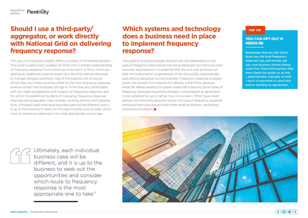#### Supporting partner:

## <span id="page-5-0"></span>**Should I use a third-party/ aggregator, or work directly with National Grid on delivering frequency response?**

The use of a third-party expert offers a number of immediate benefits. This route is particularly suitable for firms with a limited understanding of frequency response, firms which are time-short, or firms which are seeking an additional revenue stream but lack the internal resources to manage complex contracts. Use of third parties will of course attract fees, but these could be offset by the new frequency response revenue stream the third party brings in. Firms that are comfortable with the major complexities and impacts of frequency response, and for whom the additional burdens of managing frequency response internally are acceptable, may consider working directly with National Grid. Ultimately, each individual business case will be different, and it is up to the business to seek out the opportunities and consider which route to frequency response is the most appropriate one to take.

## <span id="page-5-1"></span>**Which systems and technology does a business need in place to implement frequency response?**

The systems and technologies required will vary depending on the type of frequency response service being deployed, but there are a few common requirements. It is essential that the end-user business can alter the consumption or generation of the site quickly, automatically and without disruption to core business. Frequency response is always quick: the slowest form requires full delivery within thirty seconds, while the fastest expects full power inside half a second. Some types of frequency response require the change in consumption or generation to be sustained for up to half an hour on occasion. Other types need delivery for only thirty seconds. Hence, the type of frequency response individual firms pick should match their existing systems, technology and production/plant.

#### TOP TIP:

#### YOU CAN OPT OUT IF NEEDS BE

Remember that any site which faces any risk from frequency response can, and should, opt out; core business should always come first. Many third-parties offer their clients the ability to do this – automatically, manually or both – but it is important to check this before reaching an agreement.



Ultimately, each individual business case will be different, and it is up to the business to seek out the opportunities and consider which route to frequency response is the most appropriate one to take."